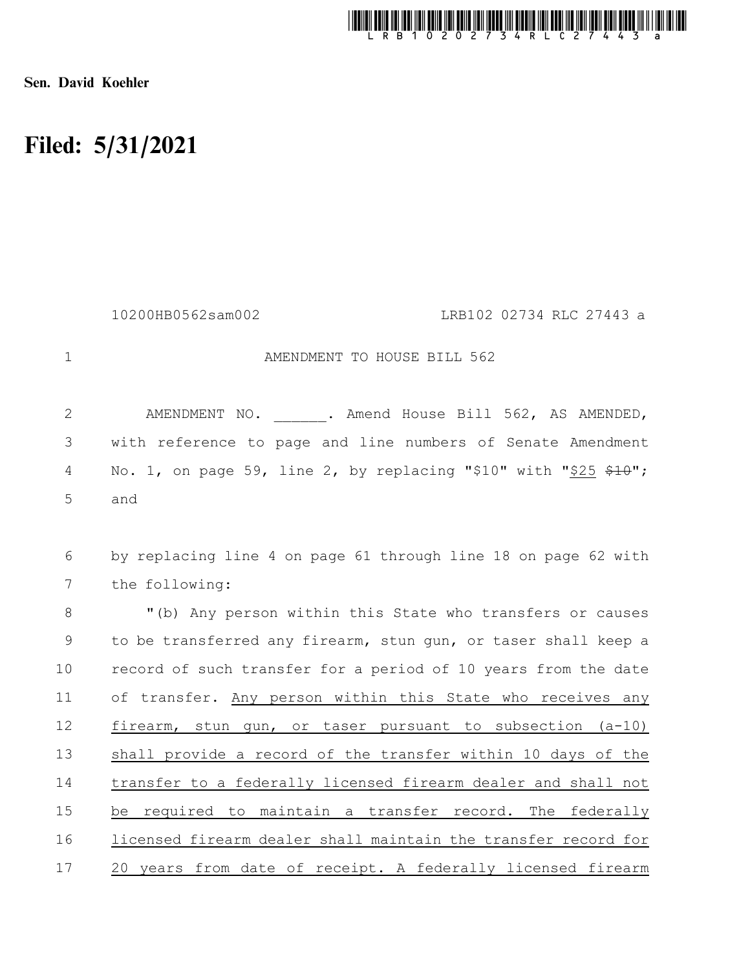

Sen. David Koehler

## Filed: 5/31/2021

AMENDMENT TO HOUSE BILL 562 AMENDMENT NO. . Amend House Bill 562, AS AMENDED, with reference to page and line numbers of Senate Amendment No. 1, on page 59, line 2, by replacing "\$10" with "\$25 \$10"; and by replacing line 4 on page 61 through line 18 on page 62 with the following: "(b) Any person within this State who transfers or causes to be transferred any firearm, stun gun, or taser shall keep a record of such transfer for a period of 10 years from the date of transfer. Any person within this State who receives any firearm, stun gun, or taser pursuant to subsection (a-10) shall provide a record of the transfer within 10 days of the transfer to a federally licensed firearm dealer and shall not be required to maintain a transfer record. The federally licensed firearm dealer shall maintain the transfer record for 20 years from date of receipt. A federally licensed firearm 1 2 3 4 5 6 7 8 9 10 11 12 13 14 15 16 17 10200HB0562sam002 LRB102 02734 RLC 27443 a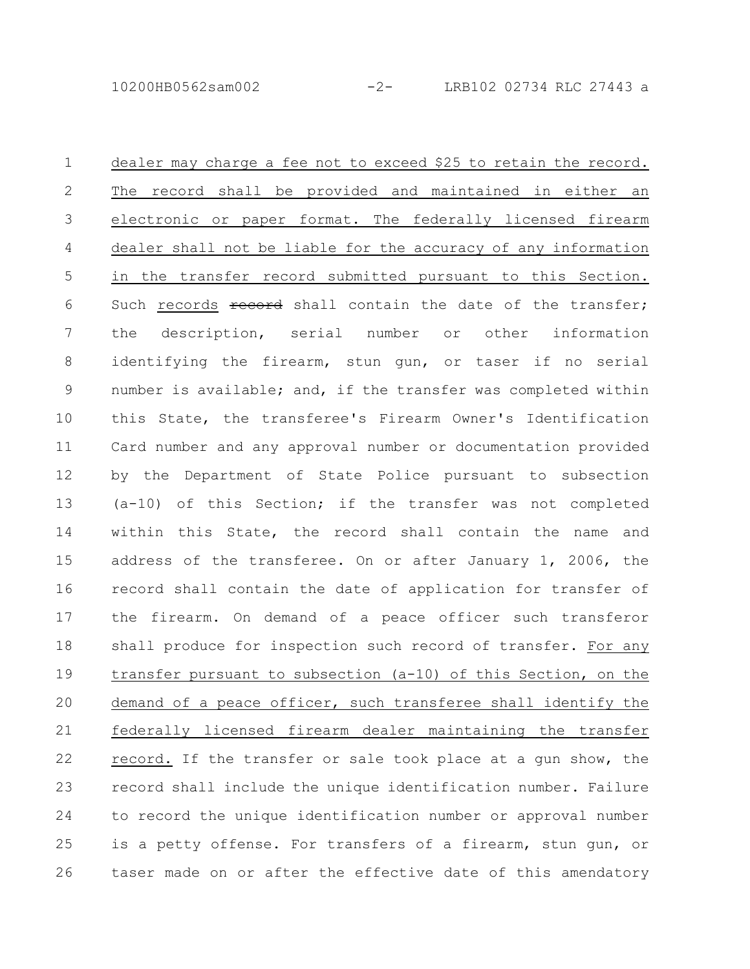dealer may charge a fee not to exceed \$25 to retain the record. The record shall be provided and maintained in either an electronic or paper format. The federally licensed firearm dealer shall not be liable for the accuracy of any information in the transfer record submitted pursuant to this Section. Such records record shall contain the date of the transfer; the description, serial number or other information identifying the firearm, stun gun, or taser if no serial number is available; and, if the transfer was completed within this State, the transferee's Firearm Owner's Identification Card number and any approval number or documentation provided by the Department of State Police pursuant to subsection (a-10) of this Section; if the transfer was not completed within this State, the record shall contain the name and address of the transferee. On or after January 1, 2006, the record shall contain the date of application for transfer of the firearm. On demand of a peace officer such transferor shall produce for inspection such record of transfer. For any transfer pursuant to subsection (a-10) of this Section, on the demand of a peace officer, such transferee shall identify the federally licensed firearm dealer maintaining the transfer record. If the transfer or sale took place at a gun show, the record shall include the unique identification number. Failure to record the unique identification number or approval number is a petty offense. For transfers of a firearm, stun gun, or taser made on or after the effective date of this amendatory 1 2 3 4 5 6 7 8 9 10 11 12 13 14 15 16 17 18 19 20 21 22 23 24 25 26